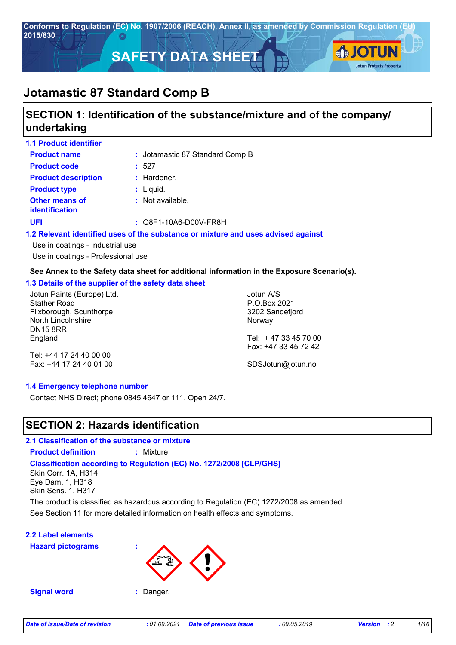

# **SECTION 1: Identification of the substance/mixture and of the company/ undertaking**

| <b>1.1 Product identifier</b>                  |                                                                          |
|------------------------------------------------|--------------------------------------------------------------------------|
| <b>Product name</b>                            | : Jotamastic 87 Standard Comp B                                          |
| <b>Product code</b>                            | : 527                                                                    |
| <b>Product description</b>                     | $:$ Hardener.                                                            |
| <b>Product type</b>                            | $:$ Liquid.                                                              |
| <b>Other means of</b><br><b>identification</b> | : Not available.                                                         |
| UFI                                            | $\therefore$ Q8F1-10A6-D00V-FR8H                                         |
|                                                | 1.2 Relevant identified uses of the substance or mixture and uses advise |

## **1.2 advised against**

Use in coatings - Industrial use Use in coatings - Professional use

## **See Annex to the Safety data sheet for additional information in the Exposure Scenario(s).**

## **1.3 Details of the supplier of the safety data sheet**

Jotun Paints (Europe) Ltd. Stather Road Flixborough, Scunthorpe North Lincolnshire DN15 8RR England

Jotun A/S P.O.Box 2021 3202 Sandefjord Norway Tel: + 47 33 45 70 00

Tel: +44 17 24 40 00 00 Fax: +44 17 24 40 01 00 Fax: +47 33 45 72 42 SDSJotun@jotun.no

## **1.4 Emergency telephone number**

Contact NHS Direct; phone 0845 4647 or 111. Open 24/7.

## **SECTION 2: Hazards identification**

**2.1 Classification of the substance or mixture**

**Product definition :** Mixture

**Classification according to Regulation (EC) No. 1272/2008 [CLP/GHS]**

Skin Corr. 1A, H314 Eye Dam. 1, H318 Skin Sens. 1, H317

See Section 11 for more detailed information on health effects and symptoms. The product is classified as hazardous according to Regulation (EC) 1272/2008 as amended.

## **2.2 Label elements**

**Hazard pictograms :**



**Signal word :** Danger.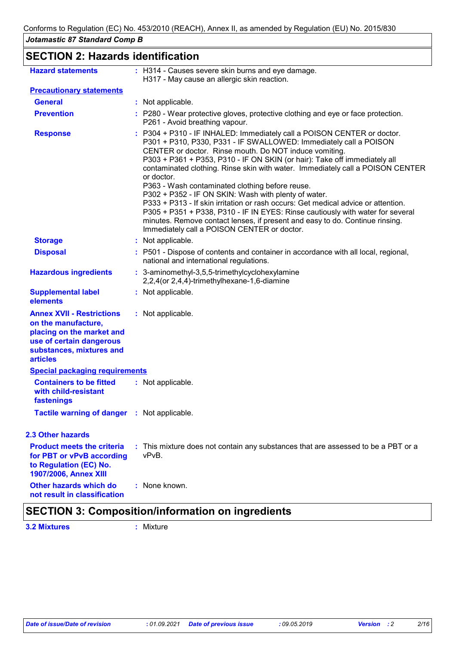**SECTION 2: Hazards identification**

| <b>Hazard statements</b>                                                                                                                                        | : H314 - Causes severe skin burns and eye damage.<br>H317 - May cause an allergic skin reaction.                                                                                                                                                                                                                                                                                                                                                                                                                                                                                                                                                                                                                                                                                                     |
|-----------------------------------------------------------------------------------------------------------------------------------------------------------------|------------------------------------------------------------------------------------------------------------------------------------------------------------------------------------------------------------------------------------------------------------------------------------------------------------------------------------------------------------------------------------------------------------------------------------------------------------------------------------------------------------------------------------------------------------------------------------------------------------------------------------------------------------------------------------------------------------------------------------------------------------------------------------------------------|
| <b>Precautionary statements</b>                                                                                                                                 |                                                                                                                                                                                                                                                                                                                                                                                                                                                                                                                                                                                                                                                                                                                                                                                                      |
| <b>General</b>                                                                                                                                                  | : Not applicable.                                                                                                                                                                                                                                                                                                                                                                                                                                                                                                                                                                                                                                                                                                                                                                                    |
| <b>Prevention</b>                                                                                                                                               | : P280 - Wear protective gloves, protective clothing and eye or face protection.<br>P261 - Avoid breathing vapour.                                                                                                                                                                                                                                                                                                                                                                                                                                                                                                                                                                                                                                                                                   |
| <b>Response</b>                                                                                                                                                 | : P304 + P310 - IF INHALED: Immediately call a POISON CENTER or doctor.<br>P301 + P310, P330, P331 - IF SWALLOWED: Immediately call a POISON<br>CENTER or doctor. Rinse mouth. Do NOT induce vomiting.<br>P303 + P361 + P353, P310 - IF ON SKIN (or hair): Take off immediately all<br>contaminated clothing. Rinse skin with water. Immediately call a POISON CENTER<br>or doctor.<br>P363 - Wash contaminated clothing before reuse.<br>P302 + P352 - IF ON SKIN: Wash with plenty of water.<br>P333 + P313 - If skin irritation or rash occurs: Get medical advice or attention.<br>P305 + P351 + P338, P310 - IF IN EYES: Rinse cautiously with water for several<br>minutes. Remove contact lenses, if present and easy to do. Continue rinsing.<br>Immediately call a POISON CENTER or doctor. |
| <b>Storage</b>                                                                                                                                                  | : Not applicable.                                                                                                                                                                                                                                                                                                                                                                                                                                                                                                                                                                                                                                                                                                                                                                                    |
| <b>Disposal</b>                                                                                                                                                 | : P501 - Dispose of contents and container in accordance with all local, regional,<br>national and international regulations.                                                                                                                                                                                                                                                                                                                                                                                                                                                                                                                                                                                                                                                                        |
| <b>Hazardous ingredients</b>                                                                                                                                    | : 3-aminomethyl-3,5,5-trimethylcyclohexylamine<br>2,2,4(or 2,4,4)-trimethylhexane-1,6-diamine                                                                                                                                                                                                                                                                                                                                                                                                                                                                                                                                                                                                                                                                                                        |
| <b>Supplemental label</b><br>elements                                                                                                                           | : Not applicable.                                                                                                                                                                                                                                                                                                                                                                                                                                                                                                                                                                                                                                                                                                                                                                                    |
| <b>Annex XVII - Restrictions</b><br>on the manufacture,<br>placing on the market and<br>use of certain dangerous<br>substances, mixtures and<br><b>articles</b> | : Not applicable.                                                                                                                                                                                                                                                                                                                                                                                                                                                                                                                                                                                                                                                                                                                                                                                    |
| <b>Special packaging requirements</b>                                                                                                                           |                                                                                                                                                                                                                                                                                                                                                                                                                                                                                                                                                                                                                                                                                                                                                                                                      |
| <b>Containers to be fitted</b><br>with child-resistant<br>fastenings                                                                                            | : Not applicable.                                                                                                                                                                                                                                                                                                                                                                                                                                                                                                                                                                                                                                                                                                                                                                                    |
| Tactile warning of danger : Not applicable.                                                                                                                     |                                                                                                                                                                                                                                                                                                                                                                                                                                                                                                                                                                                                                                                                                                                                                                                                      |
| <b>2.3 Other hazards</b>                                                                                                                                        |                                                                                                                                                                                                                                                                                                                                                                                                                                                                                                                                                                                                                                                                                                                                                                                                      |
| <b>Product meets the criteria</b><br>for PBT or vPvB according<br>to Regulation (EC) No.<br>1907/2006, Annex XIII                                               | : This mixture does not contain any substances that are assessed to be a PBT or a<br>vPvB.                                                                                                                                                                                                                                                                                                                                                                                                                                                                                                                                                                                                                                                                                                           |
| Other hazards which do<br>not result in classification                                                                                                          | : None known.                                                                                                                                                                                                                                                                                                                                                                                                                                                                                                                                                                                                                                                                                                                                                                                        |
|                                                                                                                                                                 |                                                                                                                                                                                                                                                                                                                                                                                                                                                                                                                                                                                                                                                                                                                                                                                                      |

# **SECTION 3: Composition/information on ingredients**

**3.2 Mixtures :** Mixture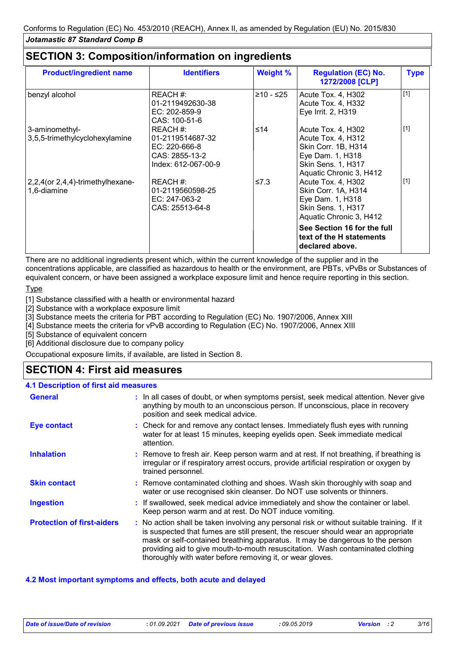## **SECTION 3: Composition/information on ingredients**

| <b>Product/ingredient name</b>                   | <b>Identifiers</b>                                                                     | <b>Weight %</b> | <b>Regulation (EC) No.</b><br>1272/2008 [CLP]                                                                                                                                                | <b>Type</b> |
|--------------------------------------------------|----------------------------------------------------------------------------------------|-----------------|----------------------------------------------------------------------------------------------------------------------------------------------------------------------------------------------|-------------|
| benzyl alcohol                                   | REACH #:<br>01-2119492630-38<br>$EC: 202-859-9$<br>CAS: 100-51-6                       | ≥10 - ≤25       | Acute Tox. 4, H302<br>Acute Tox. 4, H332<br>Eye Irrit. 2, H319                                                                                                                               | $[1]$       |
| 3-aminomethyl-<br>3,5,5-trimethylcyclohexylamine | REACH #:<br>01-2119514687-32<br>EC: 220-666-8<br>CAS: 2855-13-2<br>Index: 612-067-00-9 | ≤14             | Acute Tox. 4, H302<br>Acute Tox. 4, H312<br>Skin Corr. 1B, H314<br>Eye Dam. 1, H318<br><b>Skin Sens. 1, H317</b><br>Aquatic Chronic 3, H412                                                  | $[1]$       |
| 2,2,4(or 2,4,4)-trimethylhexane-<br>1,6-diamine  | REACH #:<br>01-2119560598-25<br>EC: 247-063-2<br>CAS: 25513-64-8                       | $\leq 7.3$      | Acute Tox. 4, H302<br>Skin Corr. 1A, H314<br>Eye Dam. 1, H318<br>Skin Sens. 1, H317<br>Aquatic Chronic 3, H412<br>See Section 16 for the full<br>text of the H statements<br>declared above. | $[1]$       |

There are no additional ingredients present which, within the current knowledge of the supplier and in the concentrations applicable, are classified as hazardous to health or the environment, are PBTs, vPvBs or Substances of equivalent concern, or have been assigned a workplace exposure limit and hence require reporting in this section.

## **Type**

[1] Substance classified with a health or environmental hazard

[2] Substance with a workplace exposure limit

[3] Substance meets the criteria for PBT according to Regulation (EC) No. 1907/2006, Annex XIII

[4] Substance meets the criteria for vPvB according to Regulation (EC) No. 1907/2006, Annex XIII

[5] Substance of equivalent concern

[6] Additional disclosure due to company policy

Occupational exposure limits, if available, are listed in Section 8.

# **SECTION 4: First aid measures**

## **4.1 Description of first aid measures**

| <b>General</b>                    | : In all cases of doubt, or when symptoms persist, seek medical attention. Never give<br>anything by mouth to an unconscious person. If unconscious, place in recovery<br>position and seek medical advice.                                                                                                                                                                                                     |
|-----------------------------------|-----------------------------------------------------------------------------------------------------------------------------------------------------------------------------------------------------------------------------------------------------------------------------------------------------------------------------------------------------------------------------------------------------------------|
| Eye contact                       | : Check for and remove any contact lenses. Immediately flush eyes with running<br>water for at least 15 minutes, keeping eyelids open. Seek immediate medical<br>attention.                                                                                                                                                                                                                                     |
| <b>Inhalation</b>                 | : Remove to fresh air. Keep person warm and at rest. If not breathing, if breathing is<br>irregular or if respiratory arrest occurs, provide artificial respiration or oxygen by<br>trained personnel.                                                                                                                                                                                                          |
| <b>Skin contact</b>               | : Remove contaminated clothing and shoes. Wash skin thoroughly with soap and<br>water or use recognised skin cleanser. Do NOT use solvents or thinners.                                                                                                                                                                                                                                                         |
| <b>Ingestion</b>                  | : If swallowed, seek medical advice immediately and show the container or label.<br>Keep person warm and at rest. Do NOT induce vomiting.                                                                                                                                                                                                                                                                       |
| <b>Protection of first-aiders</b> | : No action shall be taken involving any personal risk or without suitable training. If it<br>is suspected that fumes are still present, the rescuer should wear an appropriate<br>mask or self-contained breathing apparatus. It may be dangerous to the person<br>providing aid to give mouth-to-mouth resuscitation. Wash contaminated clothing<br>thoroughly with water before removing it, or wear gloves. |

## **4.2 Most important symptoms and effects, both acute and delayed**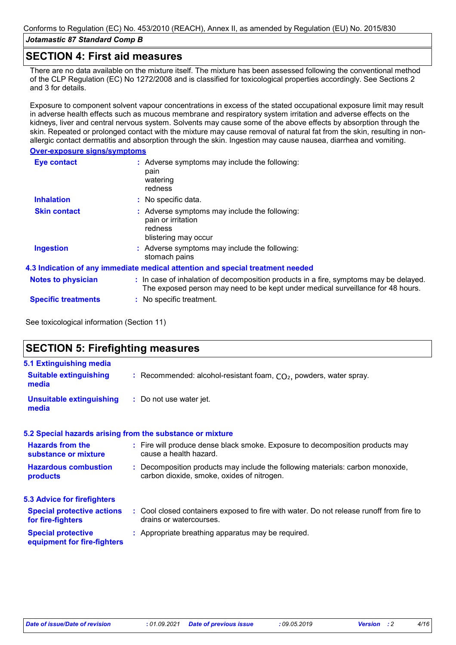## **SECTION 4: First aid measures**

There are no data available on the mixture itself. The mixture has been assessed following the conventional method of the CLP Regulation (EC) No 1272/2008 and is classified for toxicological properties accordingly. See Sections 2 and 3 for details.

Exposure to component solvent vapour concentrations in excess of the stated occupational exposure limit may result in adverse health effects such as mucous membrane and respiratory system irritation and adverse effects on the kidneys, liver and central nervous system. Solvents may cause some of the above effects by absorption through the skin. Repeated or prolonged contact with the mixture may cause removal of natural fat from the skin, resulting in nonallergic contact dermatitis and absorption through the skin. Ingestion may cause nausea, diarrhea and vomiting.

### **Over-exposure signs/symptoms**

| <b>Eye contact</b>         | : Adverse symptoms may include the following:<br>pain<br>watering<br>redness                                                                                             |
|----------------------------|--------------------------------------------------------------------------------------------------------------------------------------------------------------------------|
| <b>Inhalation</b>          | : No specific data.                                                                                                                                                      |
| <b>Skin contact</b>        | : Adverse symptoms may include the following:<br>pain or irritation<br>redness<br>blistering may occur                                                                   |
| <b>Ingestion</b>           | : Adverse symptoms may include the following:<br>stomach pains                                                                                                           |
|                            | 4.3 Indication of any immediate medical attention and special treatment needed                                                                                           |
| <b>Notes to physician</b>  | : In case of inhalation of decomposition products in a fire, symptoms may be delayed.<br>The exposed person may need to be kept under medical surveillance for 48 hours. |
| <b>Specific treatments</b> | : No specific treatment.                                                                                                                                                 |

See toxicological information (Section 11)

# **SECTION 5: Firefighting measures**

| 5.1 Extinguishing media                                |                                                                                                                              |
|--------------------------------------------------------|------------------------------------------------------------------------------------------------------------------------------|
| <b>Suitable extinguishing</b><br>media                 | : Recommended: alcohol-resistant foam, $CO2$ , powders, water spray.                                                         |
| <b>Unsuitable extinguishing</b><br>media               | : Do not use water jet.                                                                                                      |
|                                                        | 5.2 Special hazards arising from the substance or mixture                                                                    |
| <b>Hazards from the</b><br>substance or mixture        | : Fire will produce dense black smoke. Exposure to decomposition products may<br>cause a health hazard.                      |
| <b>Hazardous combustion</b><br>products                | : Decomposition products may include the following materials: carbon monoxide,<br>carbon dioxide, smoke, oxides of nitrogen. |
| <b>5.3 Advice for firefighters</b>                     |                                                                                                                              |
| <b>Special protective actions</b><br>for fire-fighters | : Cool closed containers exposed to fire with water. Do not release runoff from fire to<br>drains or watercourses.           |
|                                                        |                                                                                                                              |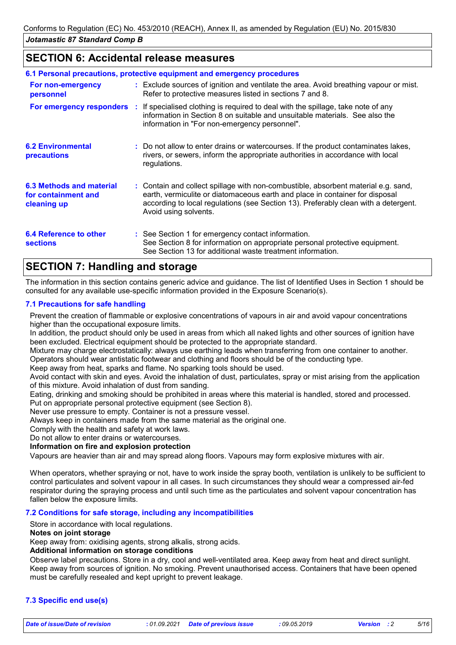## **SECTION 6: Accidental release measures**

|                                                                | 6.1 Personal precautions, protective equipment and emergency procedures                                                                                                                                                                                                            |
|----------------------------------------------------------------|------------------------------------------------------------------------------------------------------------------------------------------------------------------------------------------------------------------------------------------------------------------------------------|
| For non-emergency<br>personnel                                 | : Exclude sources of ignition and ventilate the area. Avoid breathing vapour or mist.<br>Refer to protective measures listed in sections 7 and 8.                                                                                                                                  |
|                                                                | <b>For emergency responders</b> : If specialised clothing is required to deal with the spillage, take note of any<br>information in Section 8 on suitable and unsuitable materials. See also the<br>information in "For non-emergency personnel".                                  |
| <b>6.2 Environmental</b><br><b>precautions</b>                 | : Do not allow to enter drains or watercourses. If the product contaminates lakes,<br>rivers, or sewers, inform the appropriate authorities in accordance with local<br>regulations.                                                                                               |
| 6.3 Methods and material<br>for containment and<br>cleaning up | : Contain and collect spillage with non-combustible, absorbent material e.g. sand,<br>earth, vermiculite or diatomaceous earth and place in container for disposal<br>according to local regulations (see Section 13). Preferably clean with a detergent.<br>Avoid using solvents. |
| 6.4 Reference to other<br><b>sections</b>                      | : See Section 1 for emergency contact information.<br>See Section 8 for information on appropriate personal protective equipment.<br>See Section 13 for additional waste treatment information.                                                                                    |

# **SECTION 7: Handling and storage**

The information in this section contains generic advice and guidance. The list of Identified Uses in Section 1 should be consulted for any available use-specific information provided in the Exposure Scenario(s).

## **7.1 Precautions for safe handling**

Prevent the creation of flammable or explosive concentrations of vapours in air and avoid vapour concentrations higher than the occupational exposure limits.

In addition, the product should only be used in areas from which all naked lights and other sources of ignition have been excluded. Electrical equipment should be protected to the appropriate standard.

Mixture may charge electrostatically: always use earthing leads when transferring from one container to another. Operators should wear antistatic footwear and clothing and floors should be of the conducting type.

Keep away from heat, sparks and flame. No sparking tools should be used.

Avoid contact with skin and eyes. Avoid the inhalation of dust, particulates, spray or mist arising from the application of this mixture. Avoid inhalation of dust from sanding.

Eating, drinking and smoking should be prohibited in areas where this material is handled, stored and processed. Put on appropriate personal protective equipment (see Section 8).

Never use pressure to empty. Container is not a pressure vessel.

Always keep in containers made from the same material as the original one.

Comply with the health and safety at work laws.

Do not allow to enter drains or watercourses.

**Information on fire and explosion protection**

Vapours are heavier than air and may spread along floors. Vapours may form explosive mixtures with air.

When operators, whether spraying or not, have to work inside the spray booth, ventilation is unlikely to be sufficient to control particulates and solvent vapour in all cases. In such circumstances they should wear a compressed air-fed respirator during the spraying process and until such time as the particulates and solvent vapour concentration has fallen below the exposure limits.

## **7.2 Conditions for safe storage, including any incompatibilities**

Store in accordance with local regulations.

#### **Notes on joint storage**

Keep away from: oxidising agents, strong alkalis, strong acids.

## **Additional information on storage conditions**

Observe label precautions. Store in a dry, cool and well-ventilated area. Keep away from heat and direct sunlight. Keep away from sources of ignition. No smoking. Prevent unauthorised access. Containers that have been opened must be carefully resealed and kept upright to prevent leakage.

## **7.3 Specific end use(s)**

*Date of issue/Date of revision* **:** *01.09.2021 Date of previous issue : 09.05.2019 Version : 2 5/16*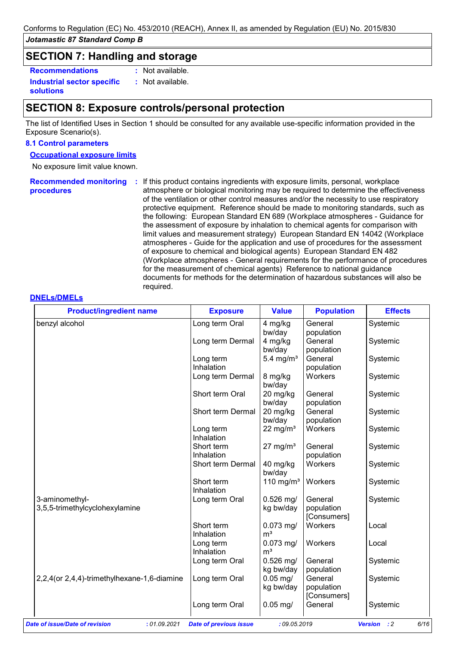## **SECTION 7: Handling and storage**

**Recommendations :**

: Not available. : Not available.

**Industrial sector specific : solutions**

## **SECTION 8: Exposure controls/personal protection**

The list of Identified Uses in Section 1 should be consulted for any available use-specific information provided in the Exposure Scenario(s).

#### **8.1 Control parameters**

**Occupational exposure limits**

No exposure limit value known.

Recommended monitoring : If this product contains ingredients with exposure limits, personal, workplace **procedures** atmosphere or biological monitoring may be required to determine the effectiveness of the ventilation or other control measures and/or the necessity to use respiratory protective equipment. Reference should be made to monitoring standards, such as the following: European Standard EN 689 (Workplace atmospheres - Guidance for the assessment of exposure by inhalation to chemical agents for comparison with limit values and measurement strategy) European Standard EN 14042 (Workplace atmospheres - Guide for the application and use of procedures for the assessment of exposure to chemical and biological agents) European Standard EN 482 (Workplace atmospheres - General requirements for the performance of procedures for the measurement of chemical agents) Reference to national guidance documents for methods for the determination of hazardous substances will also be required.

#### **DNELs/DMELs**

| Long term Oral   | 4 mg/kg                                                                                                                                                                                                                                                                                                                                                     | General                                                                                                                                                                                                                                                                                                                                        | Systemic                                                                                                                                                                                                                                                                                                     |
|------------------|-------------------------------------------------------------------------------------------------------------------------------------------------------------------------------------------------------------------------------------------------------------------------------------------------------------------------------------------------------------|------------------------------------------------------------------------------------------------------------------------------------------------------------------------------------------------------------------------------------------------------------------------------------------------------------------------------------------------|--------------------------------------------------------------------------------------------------------------------------------------------------------------------------------------------------------------------------------------------------------------------------------------------------------------|
|                  |                                                                                                                                                                                                                                                                                                                                                             |                                                                                                                                                                                                                                                                                                                                                |                                                                                                                                                                                                                                                                                                              |
|                  | bw/day                                                                                                                                                                                                                                                                                                                                                      | population                                                                                                                                                                                                                                                                                                                                     |                                                                                                                                                                                                                                                                                                              |
| Long term Dermal | 4 mg/kg                                                                                                                                                                                                                                                                                                                                                     | General                                                                                                                                                                                                                                                                                                                                        | Systemic                                                                                                                                                                                                                                                                                                     |
|                  | bw/day                                                                                                                                                                                                                                                                                                                                                      | population                                                                                                                                                                                                                                                                                                                                     |                                                                                                                                                                                                                                                                                                              |
|                  |                                                                                                                                                                                                                                                                                                                                                             | General                                                                                                                                                                                                                                                                                                                                        | Systemic                                                                                                                                                                                                                                                                                                     |
|                  |                                                                                                                                                                                                                                                                                                                                                             |                                                                                                                                                                                                                                                                                                                                                |                                                                                                                                                                                                                                                                                                              |
|                  |                                                                                                                                                                                                                                                                                                                                                             |                                                                                                                                                                                                                                                                                                                                                | Systemic                                                                                                                                                                                                                                                                                                     |
|                  |                                                                                                                                                                                                                                                                                                                                                             |                                                                                                                                                                                                                                                                                                                                                |                                                                                                                                                                                                                                                                                                              |
|                  |                                                                                                                                                                                                                                                                                                                                                             |                                                                                                                                                                                                                                                                                                                                                | Systemic                                                                                                                                                                                                                                                                                                     |
|                  |                                                                                                                                                                                                                                                                                                                                                             |                                                                                                                                                                                                                                                                                                                                                |                                                                                                                                                                                                                                                                                                              |
|                  |                                                                                                                                                                                                                                                                                                                                                             |                                                                                                                                                                                                                                                                                                                                                | Systemic                                                                                                                                                                                                                                                                                                     |
|                  |                                                                                                                                                                                                                                                                                                                                                             |                                                                                                                                                                                                                                                                                                                                                |                                                                                                                                                                                                                                                                                                              |
|                  |                                                                                                                                                                                                                                                                                                                                                             |                                                                                                                                                                                                                                                                                                                                                | Systemic                                                                                                                                                                                                                                                                                                     |
|                  |                                                                                                                                                                                                                                                                                                                                                             |                                                                                                                                                                                                                                                                                                                                                |                                                                                                                                                                                                                                                                                                              |
|                  |                                                                                                                                                                                                                                                                                                                                                             |                                                                                                                                                                                                                                                                                                                                                | Systemic                                                                                                                                                                                                                                                                                                     |
|                  |                                                                                                                                                                                                                                                                                                                                                             |                                                                                                                                                                                                                                                                                                                                                |                                                                                                                                                                                                                                                                                                              |
|                  |                                                                                                                                                                                                                                                                                                                                                             |                                                                                                                                                                                                                                                                                                                                                | Systemic                                                                                                                                                                                                                                                                                                     |
|                  |                                                                                                                                                                                                                                                                                                                                                             |                                                                                                                                                                                                                                                                                                                                                |                                                                                                                                                                                                                                                                                                              |
|                  |                                                                                                                                                                                                                                                                                                                                                             |                                                                                                                                                                                                                                                                                                                                                | Systemic                                                                                                                                                                                                                                                                                                     |
|                  |                                                                                                                                                                                                                                                                                                                                                             |                                                                                                                                                                                                                                                                                                                                                |                                                                                                                                                                                                                                                                                                              |
|                  |                                                                                                                                                                                                                                                                                                                                                             |                                                                                                                                                                                                                                                                                                                                                | Systemic                                                                                                                                                                                                                                                                                                     |
|                  |                                                                                                                                                                                                                                                                                                                                                             |                                                                                                                                                                                                                                                                                                                                                |                                                                                                                                                                                                                                                                                                              |
|                  |                                                                                                                                                                                                                                                                                                                                                             |                                                                                                                                                                                                                                                                                                                                                |                                                                                                                                                                                                                                                                                                              |
|                  |                                                                                                                                                                                                                                                                                                                                                             |                                                                                                                                                                                                                                                                                                                                                | Local                                                                                                                                                                                                                                                                                                        |
|                  |                                                                                                                                                                                                                                                                                                                                                             |                                                                                                                                                                                                                                                                                                                                                |                                                                                                                                                                                                                                                                                                              |
|                  |                                                                                                                                                                                                                                                                                                                                                             |                                                                                                                                                                                                                                                                                                                                                | Local                                                                                                                                                                                                                                                                                                        |
|                  |                                                                                                                                                                                                                                                                                                                                                             |                                                                                                                                                                                                                                                                                                                                                |                                                                                                                                                                                                                                                                                                              |
|                  |                                                                                                                                                                                                                                                                                                                                                             |                                                                                                                                                                                                                                                                                                                                                | Systemic                                                                                                                                                                                                                                                                                                     |
|                  |                                                                                                                                                                                                                                                                                                                                                             |                                                                                                                                                                                                                                                                                                                                                |                                                                                                                                                                                                                                                                                                              |
|                  |                                                                                                                                                                                                                                                                                                                                                             |                                                                                                                                                                                                                                                                                                                                                | Systemic                                                                                                                                                                                                                                                                                                     |
|                  |                                                                                                                                                                                                                                                                                                                                                             |                                                                                                                                                                                                                                                                                                                                                |                                                                                                                                                                                                                                                                                                              |
|                  |                                                                                                                                                                                                                                                                                                                                                             |                                                                                                                                                                                                                                                                                                                                                |                                                                                                                                                                                                                                                                                                              |
|                  |                                                                                                                                                                                                                                                                                                                                                             |                                                                                                                                                                                                                                                                                                                                                | Systemic                                                                                                                                                                                                                                                                                                     |
|                  |                                                                                                                                                                                                                                                                                                                                                             |                                                                                                                                                                                                                                                                                                                                                |                                                                                                                                                                                                                                                                                                              |
|                  | Long term<br>Inhalation<br>Long term Dermal<br>Short term Oral<br>Short term Dermal<br>Long term<br>Inhalation<br>Short term<br>Inhalation<br>Short term Dermal<br>Short term<br>Inhalation<br>Long term Oral<br>Short term<br>Inhalation<br>Long term<br>Inhalation<br>Long term Oral<br>Long term Oral<br>Long term Oral<br><b>Date of previous issue</b> | 5.4 mg/ $m3$<br>8 mg/kg<br>bw/day<br>20 mg/kg<br>bw/day<br>20 mg/kg<br>bw/day<br>22 mg/m <sup>3</sup><br>$27 \text{ mg/m}^3$<br>40 mg/kg<br>bw/day<br>110 mg/m <sup>3</sup><br>$0.526$ mg/<br>kg bw/day<br>$0.073$ mg/<br>m <sup>3</sup><br>$0.073$ mg/<br>m <sup>3</sup><br>$0.526$ mg/<br>kg bw/day<br>$0.05$ mg/<br>kg bw/day<br>$0.05$ mg/ | population<br>Workers<br>General<br>population<br>General<br>population<br>Workers<br>General<br>population<br>Workers<br>Workers<br>General<br>population<br>[Consumers]<br>Workers<br>Workers<br>General<br>population<br>General<br>population<br>[Consumers]<br>General<br>:09.05.2019<br><b>Version</b> |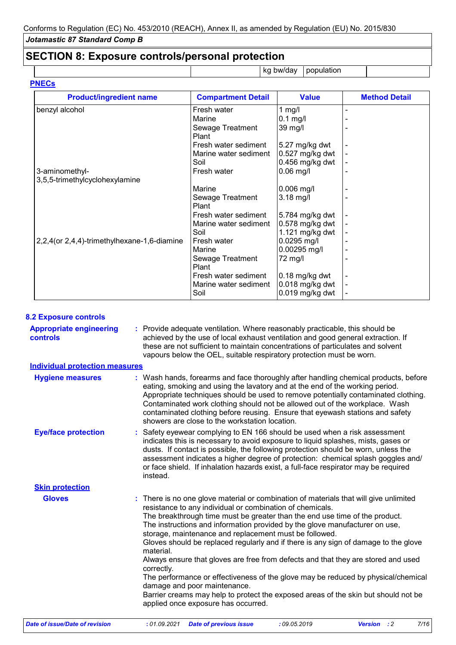# **SECTION 8: Exposure controls/personal protection**

kg bw/day  $|$  population

| <b>Product/ingredient name</b>               | <b>Compartment Detail</b> | <b>Value</b>      | <b>Method Detail</b> |
|----------------------------------------------|---------------------------|-------------------|----------------------|
| benzyl alcohol                               | Fresh water               | 1 $mg/l$          |                      |
|                                              | Marine                    | $0.1$ mg/l        |                      |
|                                              | Sewage Treatment<br>Plant | 39 mg/l           |                      |
|                                              | Fresh water sediment      | $5.27$ mg/kg dwt  |                      |
|                                              | Marine water sediment     | $0.527$ mg/kg dwt |                      |
|                                              | Soil                      | $0.456$ mg/kg dwt |                      |
| 3-aminomethyl-                               | Fresh water               | $0.06$ mg/l       |                      |
| 3,5,5-trimethylcyclohexylamine               |                           |                   |                      |
|                                              | Marine                    | $0.006$ mg/l      |                      |
|                                              | Sewage Treatment<br>Plant | $3.18$ mg/l       |                      |
|                                              | Fresh water sediment      | 5.784 mg/kg dwt   |                      |
|                                              | Marine water sediment     | $0.578$ mg/kg dwt |                      |
|                                              | Soil                      | 1.121 mg/kg dwt   |                      |
| 2,2,4 (or 2,4,4)-trimethylhexane-1,6-diamine | Fresh water               | $0.0295$ mg/l     |                      |
|                                              | Marine                    | 0.00295 mg/l      |                      |
|                                              | Sewage Treatment<br>Plant | 72 mg/l           |                      |
|                                              | Fresh water sediment      | $0.18$ mg/kg dwt  |                      |
|                                              | Marine water sediment     | $0.018$ mg/kg dwt |                      |
|                                              | Soil                      | $0.019$ mg/kg dwt |                      |

## **8.2 Exposure controls**

| <b>Appropriate engineering</b><br>controls | : Provide adequate ventilation. Where reasonably practicable, this should be<br>achieved by the use of local exhaust ventilation and good general extraction. If<br>these are not sufficient to maintain concentrations of particulates and solvent<br>vapours below the OEL, suitable respiratory protection must be worn.                                                                                                                                                                                                                                                                                                                                                                                                                                                                                                         |
|--------------------------------------------|-------------------------------------------------------------------------------------------------------------------------------------------------------------------------------------------------------------------------------------------------------------------------------------------------------------------------------------------------------------------------------------------------------------------------------------------------------------------------------------------------------------------------------------------------------------------------------------------------------------------------------------------------------------------------------------------------------------------------------------------------------------------------------------------------------------------------------------|
| <b>Individual protection measures</b>      |                                                                                                                                                                                                                                                                                                                                                                                                                                                                                                                                                                                                                                                                                                                                                                                                                                     |
| <b>Hygiene measures</b>                    | : Wash hands, forearms and face thoroughly after handling chemical products, before<br>eating, smoking and using the lavatory and at the end of the working period.<br>Appropriate techniques should be used to remove potentially contaminated clothing.<br>Contaminated work clothing should not be allowed out of the workplace. Wash<br>contaminated clothing before reusing. Ensure that eyewash stations and safety<br>showers are close to the workstation location.                                                                                                                                                                                                                                                                                                                                                         |
| <b>Eye/face protection</b>                 | Safety eyewear complying to EN 166 should be used when a risk assessment<br>indicates this is necessary to avoid exposure to liquid splashes, mists, gases or<br>dusts. If contact is possible, the following protection should be worn, unless the<br>assessment indicates a higher degree of protection: chemical splash goggles and/<br>or face shield. If inhalation hazards exist, a full-face respirator may be required<br>instead.                                                                                                                                                                                                                                                                                                                                                                                          |
| <b>Skin protection</b>                     |                                                                                                                                                                                                                                                                                                                                                                                                                                                                                                                                                                                                                                                                                                                                                                                                                                     |
| <b>Gloves</b>                              | : There is no one glove material or combination of materials that will give unlimited<br>resistance to any individual or combination of chemicals.<br>The breakthrough time must be greater than the end use time of the product.<br>The instructions and information provided by the glove manufacturer on use,<br>storage, maintenance and replacement must be followed.<br>Gloves should be replaced regularly and if there is any sign of damage to the glove<br>material.<br>Always ensure that gloves are free from defects and that they are stored and used<br>correctly.<br>The performance or effectiveness of the glove may be reduced by physical/chemical<br>damage and poor maintenance.<br>Barrier creams may help to protect the exposed areas of the skin but should not be<br>applied once exposure has occurred. |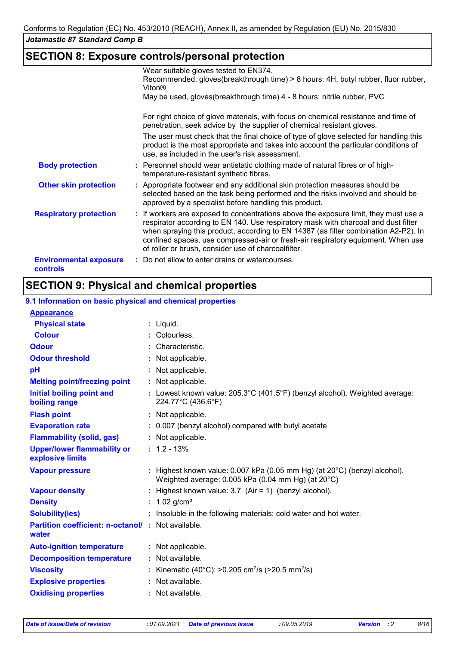# **SECTION 8: Exposure controls/personal protection**

|                                           | Wear suitable gloves tested to EN374.                                                                                                                                                                                                                                                                                                                                                                        |
|-------------------------------------------|--------------------------------------------------------------------------------------------------------------------------------------------------------------------------------------------------------------------------------------------------------------------------------------------------------------------------------------------------------------------------------------------------------------|
|                                           | Recommended, gloves(breakthrough time) > 8 hours: 4H, butyl rubber, fluor rubber,<br>Viton <sup>®</sup>                                                                                                                                                                                                                                                                                                      |
|                                           | May be used, gloves (breakthrough time) 4 - 8 hours: nitrile rubber, PVC                                                                                                                                                                                                                                                                                                                                     |
|                                           | For right choice of glove materials, with focus on chemical resistance and time of<br>penetration, seek advice by the supplier of chemical resistant gloves.                                                                                                                                                                                                                                                 |
|                                           | The user must check that the final choice of type of glove selected for handling this<br>product is the most appropriate and takes into account the particular conditions of<br>use, as included in the user's risk assessment.                                                                                                                                                                              |
| <b>Body protection</b>                    | : Personnel should wear antistatic clothing made of natural fibres or of high-<br>temperature-resistant synthetic fibres.                                                                                                                                                                                                                                                                                    |
| <b>Other skin protection</b>              | : Appropriate footwear and any additional skin protection measures should be<br>selected based on the task being performed and the risks involved and should be<br>approved by a specialist before handling this product.                                                                                                                                                                                    |
| <b>Respiratory protection</b>             | : If workers are exposed to concentrations above the exposure limit, they must use a<br>respirator according to EN 140. Use respiratory mask with charcoal and dust filter<br>when spraying this product, according to EN 14387 (as filter combination A2-P2). In<br>confined spaces, use compressed-air or fresh-air respiratory equipment. When use<br>of roller or brush, consider use of charcoalfilter. |
| <b>Environmental exposure</b><br>controls | : Do not allow to enter drains or watercourses.                                                                                                                                                                                                                                                                                                                                                              |

# **SECTION 9: Physical and chemical properties**

## **9.1 Information on basic physical and chemical properties**

| <b>Appearance</b>                                          |                                                                                                                                             |
|------------------------------------------------------------|---------------------------------------------------------------------------------------------------------------------------------------------|
| <b>Physical state</b>                                      | : Liquid.                                                                                                                                   |
| <b>Colour</b>                                              | : Colourless.                                                                                                                               |
| <b>Odour</b>                                               | Characteristic.                                                                                                                             |
| <b>Odour threshold</b>                                     | : Not applicable.                                                                                                                           |
| pH                                                         | : Not applicable.                                                                                                                           |
| <b>Melting point/freezing point</b>                        | : Not applicable.                                                                                                                           |
| <b>Initial boiling point and</b><br>boiling range          | : Lowest known value: $205.3^{\circ}C(401.5^{\circ}F)$ (benzyl alcohol). Weighted average:<br>224.77°C (436.6°F)                            |
| <b>Flash point</b>                                         | : Not applicable.                                                                                                                           |
| <b>Evaporation rate</b>                                    | : 0.007 (benzyl alcohol) compared with butyl acetate                                                                                        |
| <b>Flammability (solid, gas)</b>                           | : Not applicable.                                                                                                                           |
| <b>Upper/lower flammability or</b><br>explosive limits     | $: 1.2 - 13\%$                                                                                                                              |
| <b>Vapour pressure</b>                                     | : Highest known value: $0.007$ kPa (0.05 mm Hg) (at $20^{\circ}$ C) (benzyl alcohol).<br>Weighted average: 0.005 kPa (0.04 mm Hg) (at 20°C) |
| <b>Vapour density</b>                                      | : Highest known value: $3.7$ (Air = 1) (benzyl alcohol).                                                                                    |
| <b>Density</b>                                             | : $1.02$ g/cm <sup>3</sup>                                                                                                                  |
| <b>Solubility(ies)</b>                                     | : Insoluble in the following materials: cold water and hot water.                                                                           |
| Partition coefficient: n-octanol/: Not available.<br>water |                                                                                                                                             |
| <b>Auto-ignition temperature</b>                           | : Not applicable.                                                                                                                           |
| <b>Decomposition temperature</b>                           | : Not available.                                                                                                                            |
| <b>Viscosity</b>                                           | : Kinematic (40°C): >0.205 cm <sup>2</sup> /s (>20.5 mm <sup>2</sup> /s)                                                                    |
| <b>Explosive properties</b>                                | : Not available.                                                                                                                            |
| <b>Oxidising properties</b>                                | : Not available.                                                                                                                            |
|                                                            |                                                                                                                                             |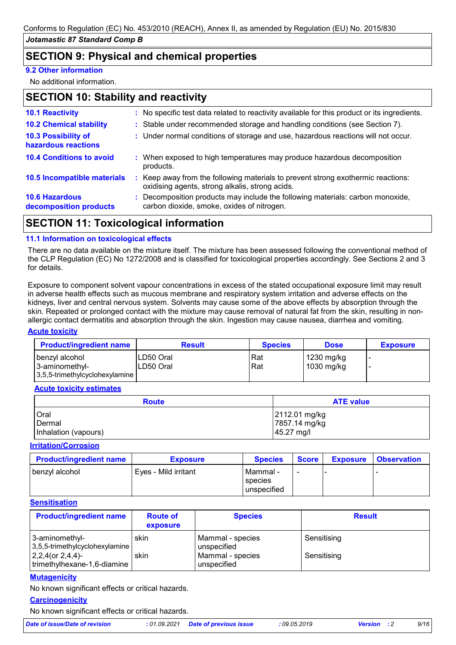# **SECTION 9: Physical and chemical properties**

## **9.2 Other information**

No additional information.

## **SECTION 10: Stability and reactivity**

| <b>10.1 Reactivity</b>                          | : No specific test data related to reactivity available for this product or its ingredients.                                        |
|-------------------------------------------------|-------------------------------------------------------------------------------------------------------------------------------------|
| <b>10.2 Chemical stability</b>                  | : Stable under recommended storage and handling conditions (see Section 7).                                                         |
| 10.3 Possibility of<br>hazardous reactions      | : Under normal conditions of storage and use, hazardous reactions will not occur.                                                   |
| <b>10.4 Conditions to avoid</b>                 | : When exposed to high temperatures may produce hazardous decomposition<br>products.                                                |
| 10.5 Incompatible materials                     | : Keep away from the following materials to prevent strong exothermic reactions:<br>oxidising agents, strong alkalis, strong acids. |
| <b>10.6 Hazardous</b><br>decomposition products | : Decomposition products may include the following materials: carbon monoxide,<br>carbon dioxide, smoke, oxides of nitrogen.        |
|                                                 |                                                                                                                                     |

## **SECTION 11: Toxicological information**

## **11.1 Information on toxicological effects**

There are no data available on the mixture itself. The mixture has been assessed following the conventional method of the CLP Regulation (EC) No 1272/2008 and is classified for toxicological properties accordingly. See Sections 2 and 3 for details.

Exposure to component solvent vapour concentrations in excess of the stated occupational exposure limit may result in adverse health effects such as mucous membrane and respiratory system irritation and adverse effects on the kidneys, liver and central nervous system. Solvents may cause some of the above effects by absorption through the skin. Repeated or prolonged contact with the mixture may cause removal of natural fat from the skin, resulting in nonallergic contact dermatitis and absorption through the skin. Ingestion may cause nausea, diarrhea and vomiting.

#### **Acute toxicity**

| <b>Product/ingredient name</b>    | <b>Result</b>           | <b>Species</b> | <b>Dose</b>              | <b>Exposure</b> |
|-----------------------------------|-------------------------|----------------|--------------------------|-----------------|
| ∣benzyl alcohol<br>3-aminomethyl- | ILD50 Oral<br>LD50 Oral | Rat<br>Rat     | 1230 mg/kg<br>1030 mg/kg |                 |
| 3,5,5-trimethylcyclohexylamine    |                         |                |                          |                 |

## **Acute toxicity estimates**

| <b>Route</b>         | <b>ATE value</b> |
|----------------------|------------------|
| Oral                 | 2112.01 mg/kg    |
| Dermal               | 7857.14 mg/kg    |
| Inhalation (vapours) | 45.27 mg/l       |

#### **Irritation/Corrosion**

| <b>Product/ingredient name</b> | <b>Exposure</b>      | <b>Species</b>                       | <b>Score</b> | <b>Exposure</b> | <b>Observation</b> |
|--------------------------------|----------------------|--------------------------------------|--------------|-----------------|--------------------|
| ∣ benzvl alcohol               | Eves - Mild irritant | I Mammal -<br>species<br>unspecified |              |                 |                    |

## **Sensitisation**

| <b>Product/ingredient name</b>                        | <b>Route of</b><br>exposure | <b>Species</b>                  | <b>Result</b> |
|-------------------------------------------------------|-----------------------------|---------------------------------|---------------|
| 3-aminomethyl-<br>3,5,5-trimethylcyclohexylamine      | skin                        | Mammal - species<br>unspecified | Sensitising   |
| $2,2,4$ (or $2,4,4$ )-<br>trimethylhexane-1,6-diamine | skin                        | Mammal - species<br>unspecified | Sensitising   |

## **Mutagenicity**

No known significant effects or critical hazards.

#### **Carcinogenicity**

No known significant effects or critical hazards.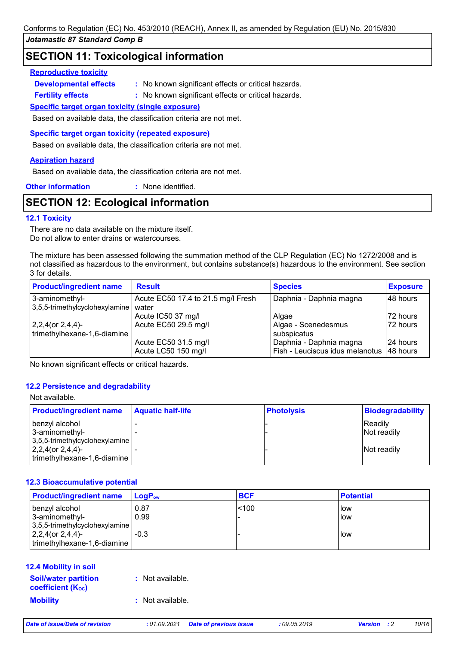## **SECTION 11: Toxicological information**

## **Reproductive toxicity**

**Developmental effects :**

: No known significant effects or critical hazards.

: No known significant effects or critical hazards. **Fertility effects :**

## **Specific target organ toxicity (single exposure)**

Based on available data, the classification criteria are not met.

**Specific target organ toxicity (repeated exposure)**

Based on available data, the classification criteria are not met.

## **Aspiration hazard**

Based on available data, the classification criteria are not met.

**Other information :** : None identified.

## **SECTION 12: Ecological information**

## **12.1 Toxicity**

There are no data available on the mixture itself. Do not allow to enter drains or watercourses.

The mixture has been assessed following the summation method of the CLP Regulation (EC) No 1272/2008 and is not classified as hazardous to the environment, but contains substance(s) hazardous to the environment. See section 3 for details.

| <b>Product/ingredient name</b>                         | <b>Result</b>                               | <b>Species</b>                                             | <b>Exposure</b>        |
|--------------------------------------------------------|---------------------------------------------|------------------------------------------------------------|------------------------|
| 3-aminomethyl-<br>3,5,5-trimethylcyclohexylamine       | Acute EC50 17.4 to 21.5 mg/l Fresh<br>water | Daphnia - Daphnia magna                                    | 48 hours               |
|                                                        | Acute IC50 37 mg/l                          | Algae                                                      | 72 hours               |
| $ 2,2,4$ (or $2,4,4$ )-<br>trimethylhexane-1,6-diamine | Acute EC50 29.5 mg/l                        | Algae - Scenedesmus<br>subspicatus                         | 72 hours               |
|                                                        | Acute EC50 31.5 mg/l<br>Acute LC50 150 mg/l | Daphnia - Daphnia magna<br>Fish - Leuciscus idus melanotus | l 24 hours<br>48 hours |

No known significant effects or critical hazards.

## **12.2 Persistence and degradability**

#### Not available.

| <b>Product/ingredient name</b> | <b>Aquatic half-life</b> | <b>Photolysis</b> | Biodegradability   |
|--------------------------------|--------------------------|-------------------|--------------------|
| benzyl alcohol                 |                          |                   | <b>Readily</b>     |
| 3-aminomethyl-                 |                          |                   | Not readily        |
| 3,5,5-trimethylcyclohexylamine |                          |                   |                    |
| $ 2,2,4$ (or $2,4,4$ )-        |                          |                   | <b>Not readily</b> |
| trimethylhexane-1,6-diamine    |                          |                   |                    |

## **12.3 Bioaccumulative potential**

| <b>Product/ingredient name</b> | $\mathsf{LogP}_\mathsf{ow}$ | <b>BCF</b> | <b>Potential</b> |
|--------------------------------|-----------------------------|------------|------------------|
| benzyl alcohol                 | 0.87                        | ~100       | low              |
| 3-aminomethyl-                 | 0.99                        |            | low              |
| 3,5,5-trimethylcyclohexylamine |                             |            |                  |
| $2,2,4$ (or $2,4,4$ )-         | $-0.3$                      |            | low              |
| trimethylhexane-1,6-diamine    |                             |            |                  |

## **12.4 Mobility in soil**

| <b>Soil/water partition</b><br><b>coefficient (Koc)</b> | : Not available. |
|---------------------------------------------------------|------------------|
| <b>Mobility</b>                                         | : Not available. |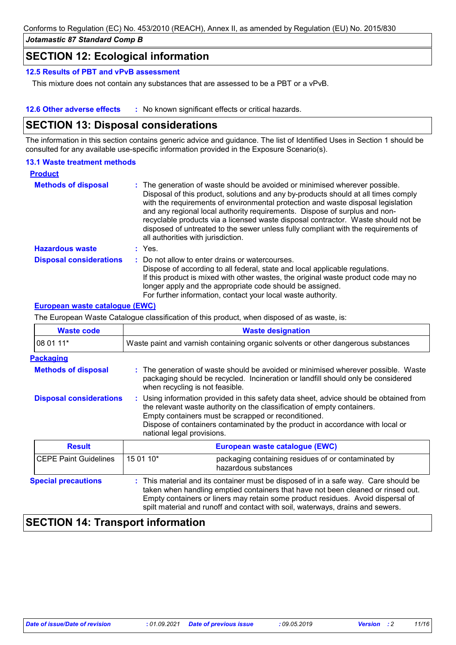## **SECTION 12: Ecological information**

## **12.5 Results of PBT and vPvB assessment**

This mixture does not contain any substances that are assessed to be a PBT or a vPvB.

**12.6 Other adverse effects** : No known significant effects or critical hazards.

# **SECTION 13: Disposal considerations**

The information in this section contains generic advice and guidance. The list of Identified Uses in Section 1 should be consulted for any available use-specific information provided in the Exposure Scenario(s).

## **13.1 Waste treatment methods**

| <b>Product</b>                 |                                                                                                                                                                                                                                                                                                                                                                                                                                                                                                                                                      |
|--------------------------------|------------------------------------------------------------------------------------------------------------------------------------------------------------------------------------------------------------------------------------------------------------------------------------------------------------------------------------------------------------------------------------------------------------------------------------------------------------------------------------------------------------------------------------------------------|
| <b>Methods of disposal</b>     | : The generation of waste should be avoided or minimised wherever possible.<br>Disposal of this product, solutions and any by-products should at all times comply<br>with the requirements of environmental protection and waste disposal legislation<br>and any regional local authority requirements. Dispose of surplus and non-<br>recyclable products via a licensed waste disposal contractor. Waste should not be<br>disposed of untreated to the sewer unless fully compliant with the requirements of<br>all authorities with jurisdiction. |
| <b>Hazardous waste</b>         | : Yes.                                                                                                                                                                                                                                                                                                                                                                                                                                                                                                                                               |
| <b>Disposal considerations</b> | Do not allow to enter drains or watercourses.<br>Dispose of according to all federal, state and local applicable regulations.<br>If this product is mixed with other wastes, the original waste product code may no<br>longer apply and the appropriate code should be assigned.<br>For further information, contact your local waste authority.                                                                                                                                                                                                     |

## **European waste catalogue (EWC)**

The European Waste Catalogue classification of this product, when disposed of as waste, is:

| <b>Waste code</b>              | <b>Waste designation</b>                                                                                                                                                                                                                                                                                                                     |  |
|--------------------------------|----------------------------------------------------------------------------------------------------------------------------------------------------------------------------------------------------------------------------------------------------------------------------------------------------------------------------------------------|--|
| 08 01 11*                      | Waste paint and varnish containing organic solvents or other dangerous substances                                                                                                                                                                                                                                                            |  |
| <b>Packaging</b>               |                                                                                                                                                                                                                                                                                                                                              |  |
| <b>Methods of disposal</b>     | : The generation of waste should be avoided or minimised wherever possible. Waste<br>packaging should be recycled. Incineration or landfill should only be considered<br>when recycling is not feasible.                                                                                                                                     |  |
| <b>Disposal considerations</b> | : Using information provided in this safety data sheet, advice should be obtained from<br>the relevant waste authority on the classification of empty containers.<br>Empty containers must be scrapped or reconditioned.<br>Dispose of containers contaminated by the product in accordance with local or<br>national legal provisions.      |  |
| <b>Result</b>                  | European waste catalogue (EWC)                                                                                                                                                                                                                                                                                                               |  |
| <b>CEPE Paint Guidelines</b>   | 15 01 10*<br>packaging containing residues of or contaminated by<br>hazardous substances                                                                                                                                                                                                                                                     |  |
| <b>Special precautions</b>     | : This material and its container must be disposed of in a safe way. Care should be<br>taken when handling emptied containers that have not been cleaned or rinsed out.<br>Empty containers or liners may retain some product residues. Avoid dispersal of<br>spilt material and runoff and contact with soil, waterways, drains and sewers. |  |

# **SECTION 14: Transport information**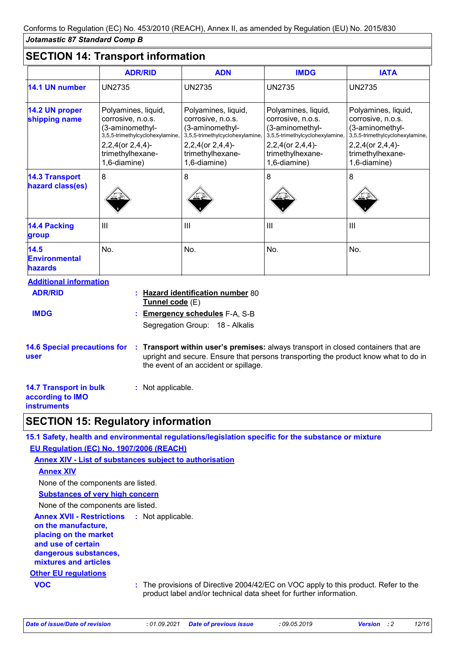# **SECTION 14: Transport information**

|                                                                                              | <b>ADR/RID</b>                                                                                                                                         | <b>ADN</b>                                                                                                                                                                                                       | <b>IMDG</b>                                                                                                                                                  | <b>IATA</b>                                                                                                                                            |
|----------------------------------------------------------------------------------------------|--------------------------------------------------------------------------------------------------------------------------------------------------------|------------------------------------------------------------------------------------------------------------------------------------------------------------------------------------------------------------------|--------------------------------------------------------------------------------------------------------------------------------------------------------------|--------------------------------------------------------------------------------------------------------------------------------------------------------|
| 14.1 UN number                                                                               | <b>UN2735</b>                                                                                                                                          | <b>UN2735</b>                                                                                                                                                                                                    | <b>UN2735</b>                                                                                                                                                | <b>UN2735</b>                                                                                                                                          |
| 14.2 UN proper<br>shipping name                                                              | Polyamines, liquid,<br>corrosive, n.o.s.<br>(3-aminomethyl-<br>3,5,5-trimethylcyclohexylamine,<br>2,2,4(or 2,4,4)-<br>trimethylhexane-<br>1,6-diamine) | Polyamines, liquid,<br>corrosive, n.o.s.<br>(3-aminomethyl-<br>3,5,5-trimethylcyclohexylamine,<br>$2,2,4$ (or $2,4,4$ )-<br>trimethylhexane-<br>1,6-diamine)                                                     | Polyamines, liquid,<br>corrosive, n.o.s.<br>(3-aminomethyl-<br>3,5,5-trimethylcyclohexylamine,<br>$2,2,4$ (or $2,4,4$ )-<br>trimethylhexane-<br>1,6-diamine) | Polyamines, liquid,<br>corrosive, n.o.s.<br>(3-aminomethyl-<br>3,5,5-trimethylcyclohexylamine,<br>2,2,4(or 2,4,4)-<br>trimethylhexane-<br>1,6-diamine) |
| <b>14.3 Transport</b><br>hazard class(es)                                                    | 8                                                                                                                                                      | 8                                                                                                                                                                                                                | 8                                                                                                                                                            | 8                                                                                                                                                      |
| <b>14.4 Packing</b><br>group                                                                 | III                                                                                                                                                    | III                                                                                                                                                                                                              | $\mathbf{III}$                                                                                                                                               | $\mathbf{III}$                                                                                                                                         |
| 14.5<br><b>Environmental</b><br><b>hazards</b>                                               | No.                                                                                                                                                    | No.                                                                                                                                                                                                              | No.                                                                                                                                                          | No.                                                                                                                                                    |
| <b>Additional information</b><br><b>ADR/RID</b><br><b>IMDG</b>                               | Tunnel code (E)                                                                                                                                        | : Hazard identification number 80<br><b>Emergency schedules F-A, S-B</b><br>Segregation Group: 18 - Alkalis                                                                                                      |                                                                                                                                                              |                                                                                                                                                        |
| <b>14.6 Special precautions for</b><br>user                                                  |                                                                                                                                                        | Transport within user's premises: always transport in closed containers that are<br>upright and secure. Ensure that persons transporting the product know what to do in<br>the event of an accident or spillage. |                                                                                                                                                              |                                                                                                                                                        |
| <b>14.7 Transport in bulk</b><br>: Not applicable.<br>according to IMO<br><b>instruments</b> |                                                                                                                                                        |                                                                                                                                                                                                                  |                                                                                                                                                              |                                                                                                                                                        |

# **SECTION 15: Regulatory information**

| 15.1 Safety, health and environmental regulations/legislation specific for the substance or mixture                                                                        |
|----------------------------------------------------------------------------------------------------------------------------------------------------------------------------|
| EU Regulation (EC) No. 1907/2006 (REACH)                                                                                                                                   |
| <b>Annex XIV - List of substances subject to authorisation</b>                                                                                                             |
| <b>Annex XIV</b>                                                                                                                                                           |
| None of the components are listed.                                                                                                                                         |
| <b>Substances of very high concern</b>                                                                                                                                     |
| None of the components are listed.                                                                                                                                         |
| <b>Annex XVII - Restrictions : Not applicable.</b><br>on the manufacture,<br>placing on the market<br>and use of certain<br>dangerous substances,<br>mixtures and articles |
| <b>Other EU regulations</b>                                                                                                                                                |
| <b>VOC</b><br>: The provisions of Directive 2004/42/EC on VOC apply to this product. Refer to the<br>product label and/or technical data sheet for further information.    |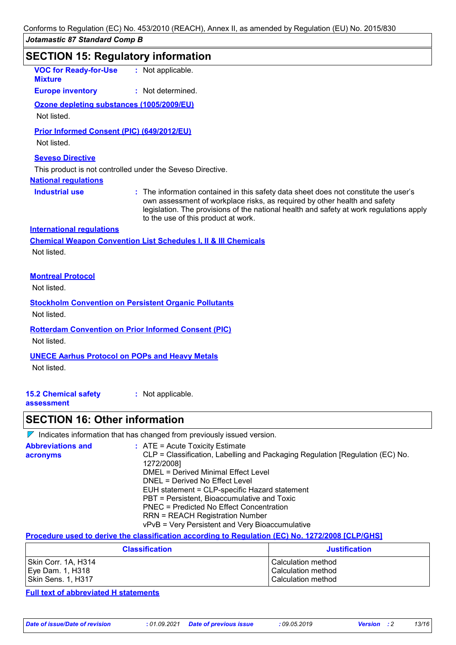## **SECTION 15: Regulatory information Industrial use <b>:** The information contained in this safety data sheet does not constitute the user's own assessment of workplace risks, as required by other health and safety legislation. The provisions of the national health and safety at work regulations apply to the use of this product at work. **VOC for Ready-for-Use Mixture :** Not applicable. **National regulations Europe inventory :** Not determined. **International regulations 15.2 Chemical safety assessment :** Not applicable. **Seveso Directive** This product is not controlled under the Seveso Directive. **Chemical Weapon Convention List Schedules I, II & III Chemicals Montreal Protocol** Not listed. **Stockholm Convention on Persistent Organic Pollutants** Not listed. **Rotterdam Convention on Prior Informed Consent (PIC)** Not listed. **UNECE Aarhus Protocol on POPs and Heavy Metals** Not listed. **Ozone depleting substances (1005/2009/EU)** Not listed. **Prior Informed Consent (PIC) (649/2012/EU)** Not listed. Not listed.

## **SECTION 16: Other information**

 $\nabla$  Indicates information that has changed from previously issued version.

| <b>Abbreviations and</b><br>acronyms | $\therefore$ ATE = Acute Toxicity Estimate<br>CLP = Classification, Labelling and Packaging Regulation [Regulation (EC) No.<br>1272/2008] |
|--------------------------------------|-------------------------------------------------------------------------------------------------------------------------------------------|
|                                      | DMEL = Derived Minimal Effect Level                                                                                                       |
|                                      | DNEL = Derived No Effect Level                                                                                                            |
|                                      | EUH statement = CLP-specific Hazard statement                                                                                             |
|                                      | PBT = Persistent, Bioaccumulative and Toxic                                                                                               |
|                                      | PNEC = Predicted No Effect Concentration                                                                                                  |
|                                      | <b>RRN = REACH Registration Number</b>                                                                                                    |
|                                      | vPvB = Very Persistent and Very Bioaccumulative                                                                                           |

#### **Procedure used to derive the classification according to Regulation (EC) No. 1272/2008 [CLP/GHS]**

| <b>Classification</b> | <b>Justification</b> |
|-----------------------|----------------------|
| Skin Corr. 1A, H314   | l Calculation method |
| Eye Dam. 1, H318      | l Calculation method |
| Skin Sens. 1, H317    | l Calculation method |

**Full text of abbreviated H statements**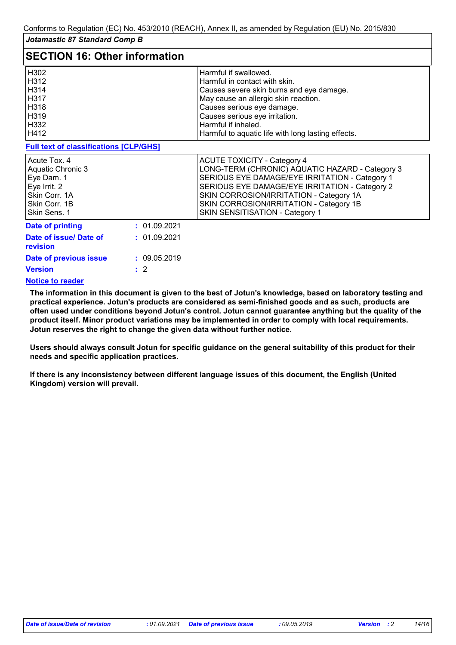| <b>SECTION 16: Other information</b>                                                                              |              |                                                                                                                                                                                                                                                                                                                    |  |
|-------------------------------------------------------------------------------------------------------------------|--------------|--------------------------------------------------------------------------------------------------------------------------------------------------------------------------------------------------------------------------------------------------------------------------------------------------------------------|--|
| H302<br>H312<br>H314<br>H317<br>H318<br>H319<br>H332<br>H412                                                      |              | Harmful if swallowed.<br>Harmful in contact with skin.<br>Causes severe skin burns and eye damage.<br>May cause an allergic skin reaction.<br>Causes serious eye damage.<br>Causes serious eye irritation.<br>Harmful if inhaled.<br>Harmful to aquatic life with long lasting effects.                            |  |
| <b>Full text of classifications [CLP/GHS]</b>                                                                     |              |                                                                                                                                                                                                                                                                                                                    |  |
| Acute Tox, 4<br>Aquatic Chronic 3<br>Eye Dam. 1<br>Eye Irrit. 2<br>Skin Corr. 1A<br>Skin Corr. 1B<br>Skin Sens. 1 |              | <b>ACUTE TOXICITY - Category 4</b><br>LONG-TERM (CHRONIC) AQUATIC HAZARD - Category 3<br>SERIOUS EYE DAMAGE/EYE IRRITATION - Category 1<br>SERIOUS EYE DAMAGE/EYE IRRITATION - Category 2<br>SKIN CORROSION/IRRITATION - Category 1A<br>SKIN CORROSION/IRRITATION - Category 1B<br>SKIN SENSITISATION - Category 1 |  |
| <b>Date of printing</b>                                                                                           | : 01.09.2021 |                                                                                                                                                                                                                                                                                                                    |  |
| Date of issue/ Date of<br>revision                                                                                | : 01.09.2021 |                                                                                                                                                                                                                                                                                                                    |  |
| Date of previous issue                                                                                            | : 09.05.2019 |                                                                                                                                                                                                                                                                                                                    |  |
| <b>Version</b>                                                                                                    | $\cdot$ 2    |                                                                                                                                                                                                                                                                                                                    |  |
| <b>Notice to reader</b>                                                                                           |              |                                                                                                                                                                                                                                                                                                                    |  |

**The information in this document is given to the best of Jotun's knowledge, based on laboratory testing and practical experience. Jotun's products are considered as semi-finished goods and as such, products are often used under conditions beyond Jotun's control. Jotun cannot guarantee anything but the quality of the product itself. Minor product variations may be implemented in order to comply with local requirements. Jotun reserves the right to change the given data without further notice.**

**Users should always consult Jotun for specific guidance on the general suitability of this product for their needs and specific application practices.**

**If there is any inconsistency between different language issues of this document, the English (United Kingdom) version will prevail.**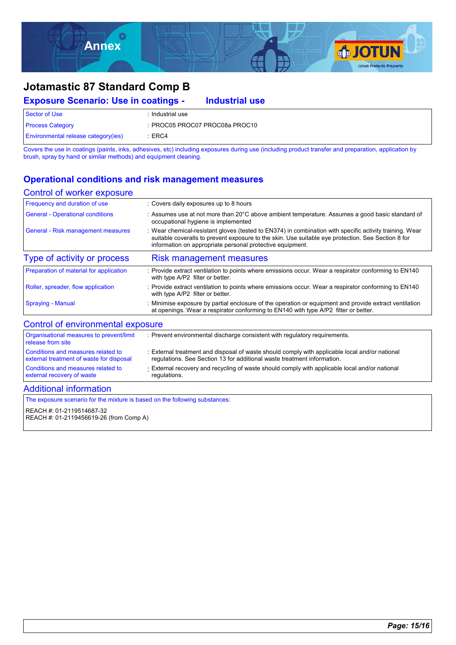

#### **Exposure Scenario: Use in coatings -** Sector of Use : Industrial use Process Category : PROC05 PROC07 PROC08a PROC10 Environmental release category(ies) : ERC4 **Industrial use**

Covers the use in coatings (paints, inks, adhesives, etc) including exposures during use (including product transfer and preparation, application by brush, spray by hand or similar methods) and equipment cleaning.

## **Operational conditions and risk management measures**

### Control of worker exposure

| Frequency and duration of use            | : Covers daily exposures up to 8 hours                                                                                                                                                                                                                                     |
|------------------------------------------|----------------------------------------------------------------------------------------------------------------------------------------------------------------------------------------------------------------------------------------------------------------------------|
| <b>General - Operational conditions</b>  | : Assumes use at not more than 20°C above ambient temperature. Assumes a good basic standard of<br>occupational hygiene is implemented                                                                                                                                     |
| General - Risk management measures       | : Wear chemical-resistant gloves (tested to EN374) in combination with specific activity training. Wear<br>suitable coveralls to prevent exposure to the skin. Use suitable eye protection. See Section 8 for<br>information on appropriate personal protective equipment. |
| Type of activity or process              | <b>Risk management measures</b>                                                                                                                                                                                                                                            |
| Preparation of material for application  | : Provide extract ventilation to points where emissions occur. Wear a respirator conforming to EN140<br>with type A/P2 filter or better.                                                                                                                                   |
| Roller, spreader, flow application       | : Provide extract ventilation to points where emissions occur. Wear a respirator conforming to EN140<br>with type A/P2 filter or better.                                                                                                                                   |
| <b>Spraying - Manual</b>                 | : Minimise exposure by partial enclosure of the operation or equipment and provide extract ventilation<br>at openings. Wear a respirator conforming to EN140 with type A/P2 filter or better.                                                                              |
| Control of environmental exposure        |                                                                                                                                                                                                                                                                            |
| Organisational measures to prevent/limit | Prevent environmental discharge consistent with requisitory requirements                                                                                                                                                                                                   |

| external recovery of waste<br><b>Additional information</b>                    | regulations.                                                                                                                                                              |
|--------------------------------------------------------------------------------|---------------------------------------------------------------------------------------------------------------------------------------------------------------------------|
| Conditions and measures related to                                             | External recovery and recycling of waste should comply with applicable local and/or national                                                                              |
| Conditions and measures related to<br>external treatment of waste for disposal | : External treatment and disposal of waste should comply with applicable local and/or national<br>regulations. See Section 13 for additional waste treatment information. |
| Organisational measures to prevent/limit<br>release from site                  | : Prevent environmental discharge consistent with regulatory requirements.                                                                                                |

The exposure scenario for the mixture is based on the following substances:

REACH #: 01-2119514687-32

REACH #: 01-2119456619-26 (from Comp A)